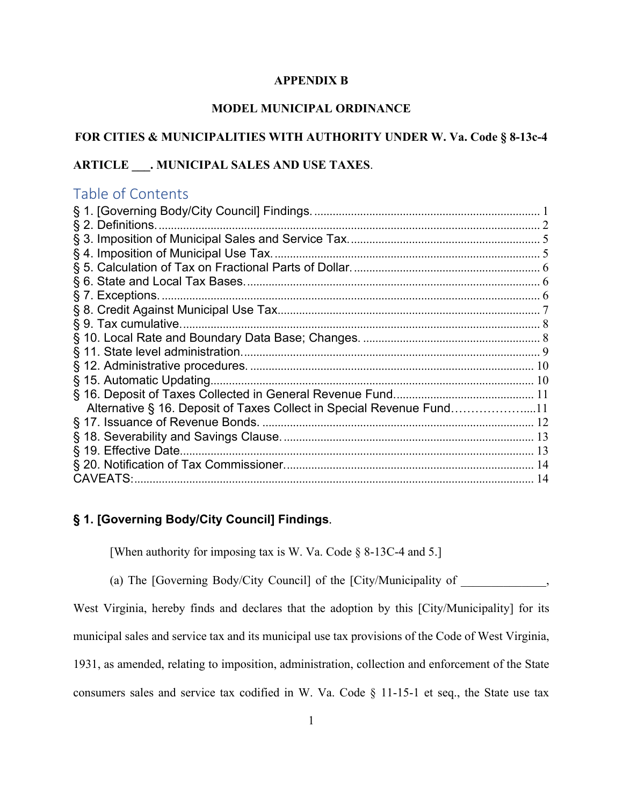#### **APPENDIX B**

## **MODEL MUNICIPAL ORDINANCE**

# **FOR CITIES & MUNICIPALITIES WITH AUTHORITY UNDER W. Va. Code § 8-13c-4**

# **ARTICLE \_\_\_. MUNICIPAL SALES AND USE TAXES**.

# Table of Contents

| § 9. Tax cumulative.<br>Alternative § 16. Deposit of Taxes Collect in Special Revenue Fund11 |
|----------------------------------------------------------------------------------------------|
|                                                                                              |
|                                                                                              |
|                                                                                              |
|                                                                                              |
|                                                                                              |
|                                                                                              |
|                                                                                              |
|                                                                                              |
|                                                                                              |
|                                                                                              |
|                                                                                              |
|                                                                                              |
|                                                                                              |
|                                                                                              |
|                                                                                              |
|                                                                                              |
|                                                                                              |
|                                                                                              |
| <b>CAVEATS:</b>                                                                              |

# <span id="page-0-0"></span>**§ 1. [Governing Body/City Council] Findings**.

[When authority for imposing tax is W. Va. Code § 8-13C-4 and 5.]

(a) The [Governing Body/City Council] of the [City/Municipality of  $\,$ 

West Virginia, hereby finds and declares that the adoption by this [City/Municipality] for its

municipal sales and service tax and its municipal use tax provisions of the Code of West Virginia,

1931, as amended, relating to imposition, administration, collection and enforcement of the State

consumers sales and service tax codified in W. Va. Code § 11-15-1 et seq., the State use tax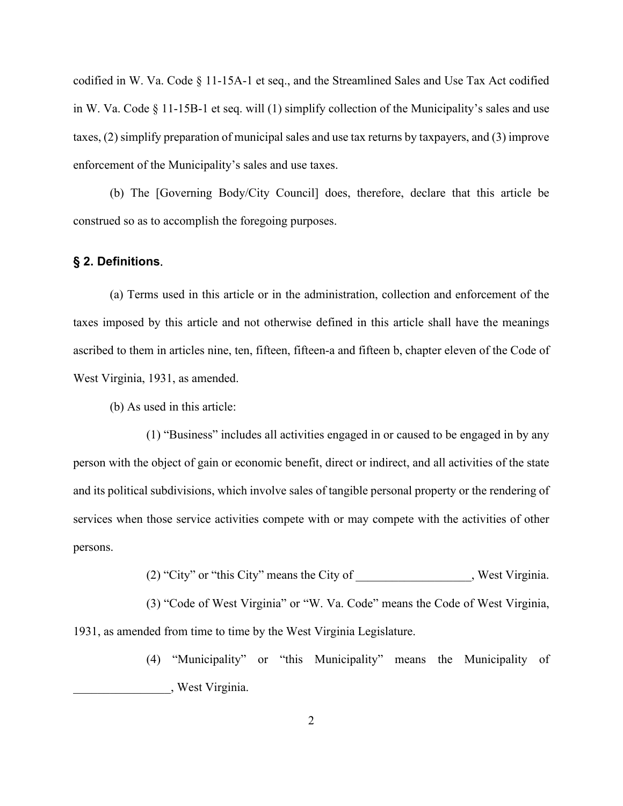codified in W. Va. Code § 11-15A-1 et seq., and the Streamlined Sales and Use Tax Act codified in W. Va. Code § 11-15B-1 et seq. will (1) simplify collection of the Municipality's sales and use taxes, (2) simplify preparation of municipal sales and use tax returns by taxpayers, and (3) improve enforcement of the Municipality's sales and use taxes.

(b) The [Governing Body/City Council] does, therefore, declare that this article be construed so as to accomplish the foregoing purposes.

#### <span id="page-1-0"></span>**§ 2. Definitions**.

(a) Terms used in this article or in the administration, collection and enforcement of the taxes imposed by this article and not otherwise defined in this article shall have the meanings ascribed to them in articles nine, ten, fifteen, fifteen-a and fifteen b, chapter eleven of the Code of West Virginia, 1931, as amended.

(b) As used in this article:

(1) "Business" includes all activities engaged in or caused to be engaged in by any person with the object of gain or economic benefit, direct or indirect, and all activities of the state and its political subdivisions, which involve sales of tangible personal property or the rendering of services when those service activities compete with or may compete with the activities of other persons.

(2) "City" or "this City" means the City of \_\_\_\_\_\_\_\_\_\_\_\_\_\_\_\_\_\_, West Virginia.

(3) "Code of West Virginia" or "W. Va. Code" means the Code of West Virginia, 1931, as amended from time to time by the West Virginia Legislature.

> (4) "Municipality" or "this Municipality" means the Municipality of \_\_\_\_\_\_\_\_\_\_\_\_\_\_\_\_, West Virginia.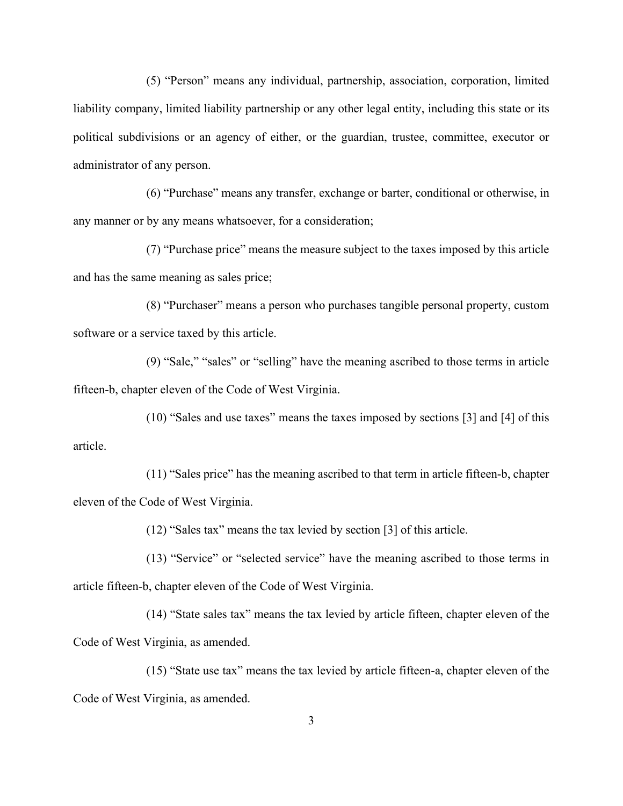(5) "Person" means any individual, partnership, association, corporation, limited liability company, limited liability partnership or any other legal entity, including this state or its political subdivisions or an agency of either, or the guardian, trustee, committee, executor or administrator of any person.

(6) "Purchase" means any transfer, exchange or barter, conditional or otherwise, in any manner or by any means whatsoever, for a consideration;

(7) "Purchase price" means the measure subject to the taxes imposed by this article and has the same meaning as sales price;

(8) "Purchaser" means a person who purchases tangible personal property, custom software or a service taxed by this article.

(9) "Sale," "sales" or "selling" have the meaning ascribed to those terms in article fifteen-b, chapter eleven of the Code of West Virginia.

(10) "Sales and use taxes" means the taxes imposed by sections [3] and [4] of this article.

(11) "Sales price" has the meaning ascribed to that term in article fifteen-b, chapter eleven of the Code of West Virginia.

(12) "Sales tax" means the tax levied by section [3] of this article.

(13) "Service" or "selected service" have the meaning ascribed to those terms in article fifteen-b, chapter eleven of the Code of West Virginia.

(14) "State sales tax" means the tax levied by article fifteen, chapter eleven of the Code of West Virginia, as amended.

(15) "State use tax" means the tax levied by article fifteen-a, chapter eleven of the Code of West Virginia, as amended.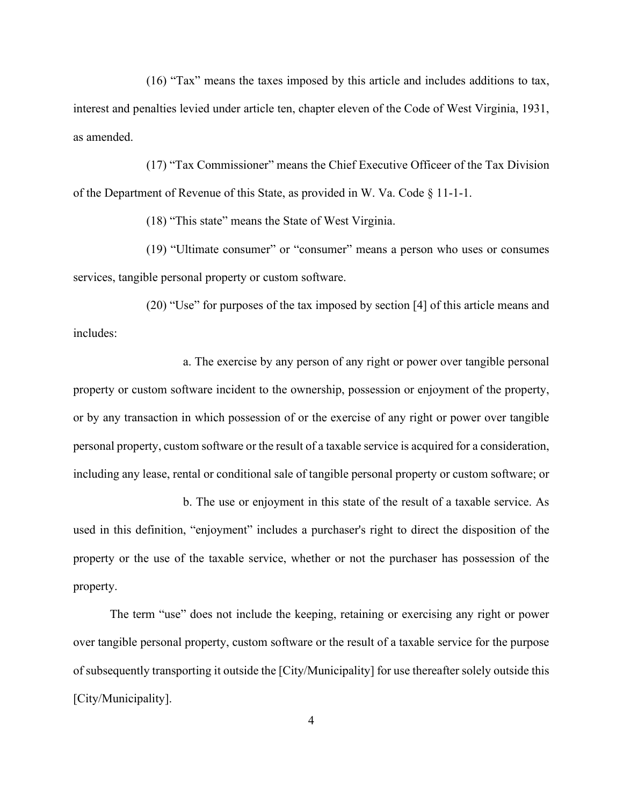(16) "Tax" means the taxes imposed by this article and includes additions to tax, interest and penalties levied under article ten, chapter eleven of the Code of West Virginia, 1931, as amended.

(17) "Tax Commissioner" means the Chief Executive Officeer of the Tax Division of the Department of Revenue of this State, as provided in W. Va. Code  $\S 11-1-1$ .

(18) "This state" means the State of West Virginia.

(19) "Ultimate consumer" or "consumer" means a person who uses or consumes services, tangible personal property or custom software.

(20) "Use" for purposes of the tax imposed by section [4] of this article means and includes:

a. The exercise by any person of any right or power over tangible personal property or custom software incident to the ownership, possession or enjoyment of the property, or by any transaction in which possession of or the exercise of any right or power over tangible personal property, custom software or the result of a taxable service is acquired for a consideration, including any lease, rental or conditional sale of tangible personal property or custom software; or

b. The use or enjoyment in this state of the result of a taxable service. As used in this definition, "enjoyment" includes a purchaser's right to direct the disposition of the property or the use of the taxable service, whether or not the purchaser has possession of the property.

The term "use" does not include the keeping, retaining or exercising any right or power over tangible personal property, custom software or the result of a taxable service for the purpose of subsequently transporting it outside the [City/Municipality] for use thereafter solely outside this [City/Municipality].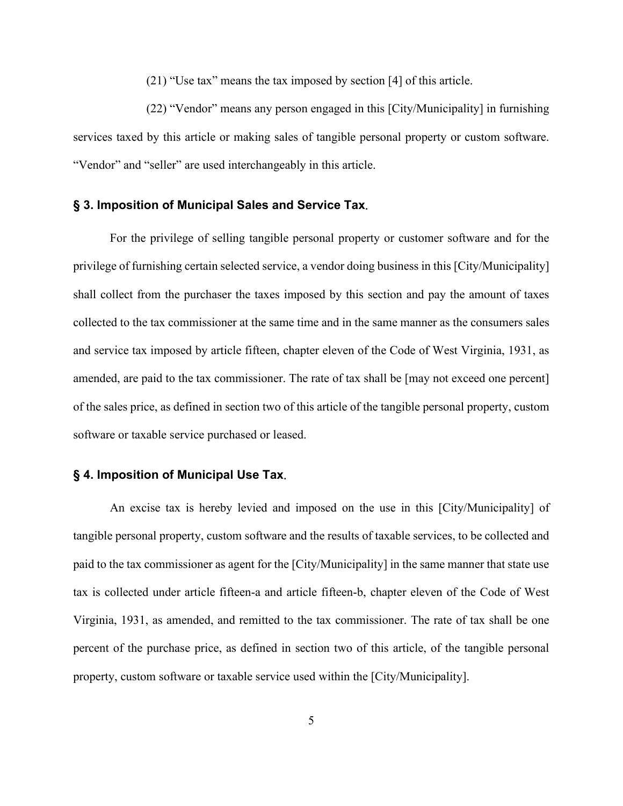(21) "Use tax" means the tax imposed by section [4] of this article.

(22) "Vendor" means any person engaged in this [City/Municipality] in furnishing services taxed by this article or making sales of tangible personal property or custom software. "Vendor" and "seller" are used interchangeably in this article.

#### <span id="page-4-0"></span>**§ 3. Imposition of Municipal Sales and Service Tax**.

For the privilege of selling tangible personal property or customer software and for the privilege of furnishing certain selected service, a vendor doing business in this [City/Municipality] shall collect from the purchaser the taxes imposed by this section and pay the amount of taxes collected to the tax commissioner at the same time and in the same manner as the consumers sales and service tax imposed by article fifteen, chapter eleven of the Code of West Virginia, 1931, as amended, are paid to the tax commissioner. The rate of tax shall be [may not exceed one percent] of the sales price, as defined in section two of this article of the tangible personal property, custom software or taxable service purchased or leased.

### <span id="page-4-1"></span>**§ 4. Imposition of Municipal Use Tax**.

An excise tax is hereby levied and imposed on the use in this [City/Municipality] of tangible personal property, custom software and the results of taxable services, to be collected and paid to the tax commissioner as agent for the [City/Municipality] in the same manner that state use tax is collected under article fifteen-a and article fifteen-b, chapter eleven of the Code of West Virginia, 1931, as amended, and remitted to the tax commissioner. The rate of tax shall be one percent of the purchase price, as defined in section two of this article, of the tangible personal property, custom software or taxable service used within the [City/Municipality].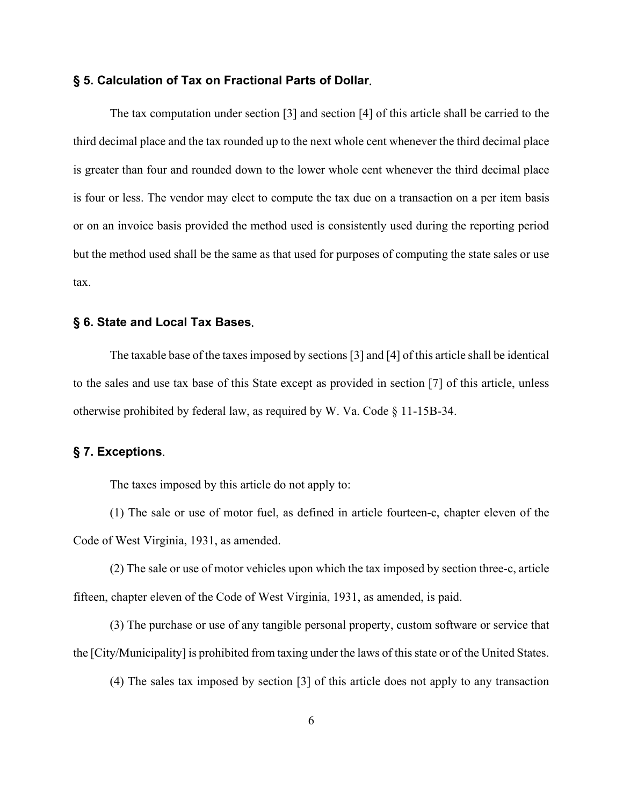#### <span id="page-5-0"></span>**§ 5. Calculation of Tax on Fractional Parts of Dollar**.

The tax computation under section [3] and section [4] of this article shall be carried to the third decimal place and the tax rounded up to the next whole cent whenever the third decimal place is greater than four and rounded down to the lower whole cent whenever the third decimal place is four or less. The vendor may elect to compute the tax due on a transaction on a per item basis or on an invoice basis provided the method used is consistently used during the reporting period but the method used shall be the same as that used for purposes of computing the state sales or use tax.

### <span id="page-5-1"></span>**§ 6. State and Local Tax Bases**.

The taxable base of the taxes imposed by sections [3] and [4] of this article shall be identical to the sales and use tax base of this State except as provided in section [7] of this article, unless otherwise prohibited by federal law, as required by W. Va. Code § 11-15B-34.

### <span id="page-5-2"></span>**§ 7. Exceptions**.

The taxes imposed by this article do not apply to:

(1) The sale or use of motor fuel, as defined in article fourteen-c, chapter eleven of the Code of West Virginia, 1931, as amended.

(2) The sale or use of motor vehicles upon which the tax imposed by section three-c, article fifteen, chapter eleven of the Code of West Virginia, 1931, as amended, is paid.

(3) The purchase or use of any tangible personal property, custom software or service that the [City/Municipality] is prohibited from taxing under the laws of this state or of the United States.

(4) The sales tax imposed by section [3] of this article does not apply to any transaction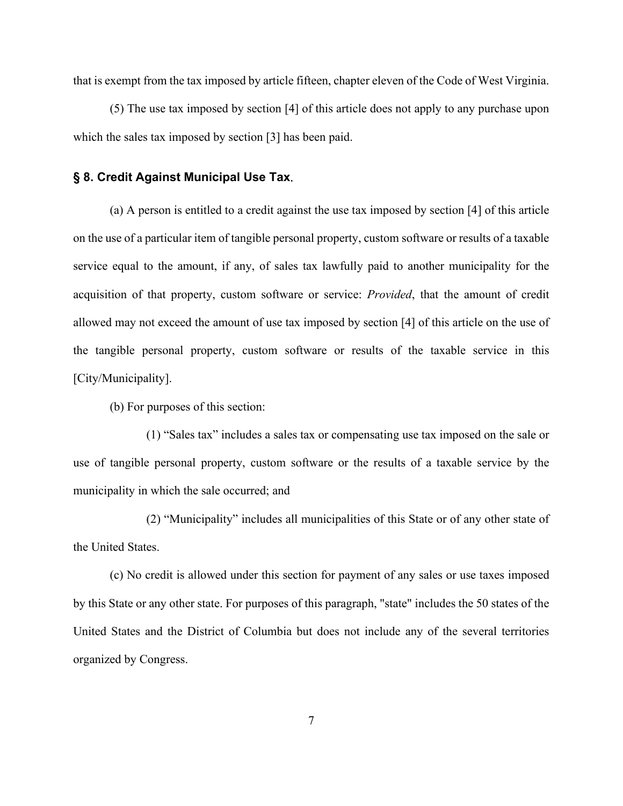that is exempt from the tax imposed by article fifteen, chapter eleven of the Code of West Virginia.

(5) The use tax imposed by section [4] of this article does not apply to any purchase upon which the sales tax imposed by section [3] has been paid.

#### <span id="page-6-0"></span>**§ 8. Credit Against Municipal Use Tax**.

(a) A person is entitled to a credit against the use tax imposed by section [4] of this article on the use of a particular item of tangible personal property, custom software or results of a taxable service equal to the amount, if any, of sales tax lawfully paid to another municipality for the acquisition of that property, custom software or service: *Provided*, that the amount of credit allowed may not exceed the amount of use tax imposed by section [4] of this article on the use of the tangible personal property, custom software or results of the taxable service in this [City/Municipality].

(b) For purposes of this section:

(1) "Sales tax" includes a sales tax or compensating use tax imposed on the sale or use of tangible personal property, custom software or the results of a taxable service by the municipality in which the sale occurred; and

(2) "Municipality" includes all municipalities of this State or of any other state of the United States.

(c) No credit is allowed under this section for payment of any sales or use taxes imposed by this State or any other state. For purposes of this paragraph, "state" includes the 50 states of the United States and the District of Columbia but does not include any of the several territories organized by Congress.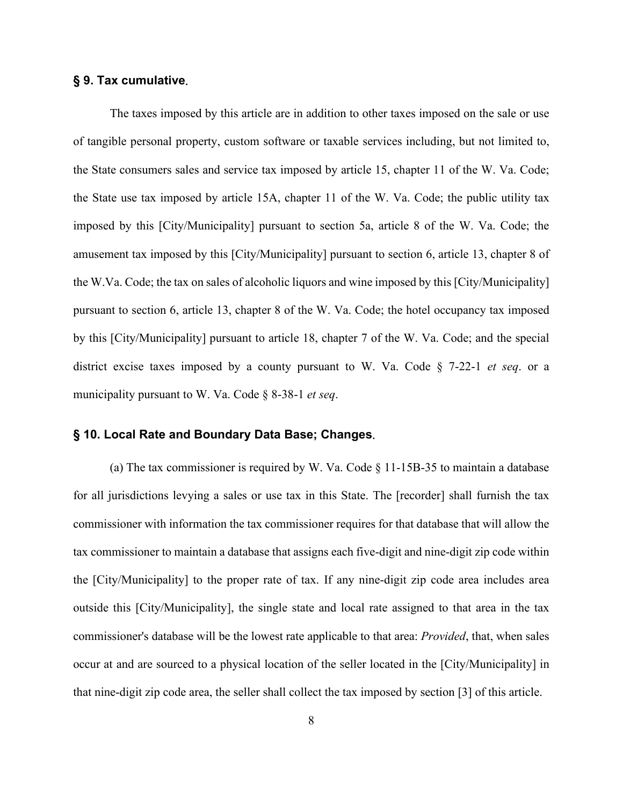### <span id="page-7-0"></span>**§ 9. Tax cumulative**.

The taxes imposed by this article are in addition to other taxes imposed on the sale or use of tangible personal property, custom software or taxable services including, but not limited to, the State consumers sales and service tax imposed by article 15, chapter 11 of the W. Va. Code; the State use tax imposed by article 15A, chapter 11 of the W. Va. Code; the public utility tax imposed by this [City/Municipality] pursuant to section 5a, article 8 of the W. Va. Code; the amusement tax imposed by this [City/Municipality] pursuant to section 6, article 13, chapter 8 of the W.Va. Code; the tax on sales of alcoholic liquors and wine imposed by this [City/Municipality] pursuant to section 6, article 13, chapter 8 of the W. Va. Code; the hotel occupancy tax imposed by this [City/Municipality] pursuant to article 18, chapter 7 of the W. Va. Code; and the special district excise taxes imposed by a county pursuant to W. Va. Code § 7-22-1 *et seq*. or a municipality pursuant to W. Va. Code § 8-38-1 *et seq*.

#### <span id="page-7-1"></span>**§ 10. Local Rate and Boundary Data Base; Changes**.

(a) The tax commissioner is required by W. Va. Code  $\S$  11-15B-35 to maintain a database for all jurisdictions levying a sales or use tax in this State. The [recorder] shall furnish the tax commissioner with information the tax commissioner requires for that database that will allow the tax commissioner to maintain a database that assigns each five-digit and nine-digit zip code within the [City/Municipality] to the proper rate of tax. If any nine-digit zip code area includes area outside this [City/Municipality], the single state and local rate assigned to that area in the tax commissioner's database will be the lowest rate applicable to that area: *Provided*, that, when sales occur at and are sourced to a physical location of the seller located in the [City/Municipality] in that nine-digit zip code area, the seller shall collect the tax imposed by section [3] of this article.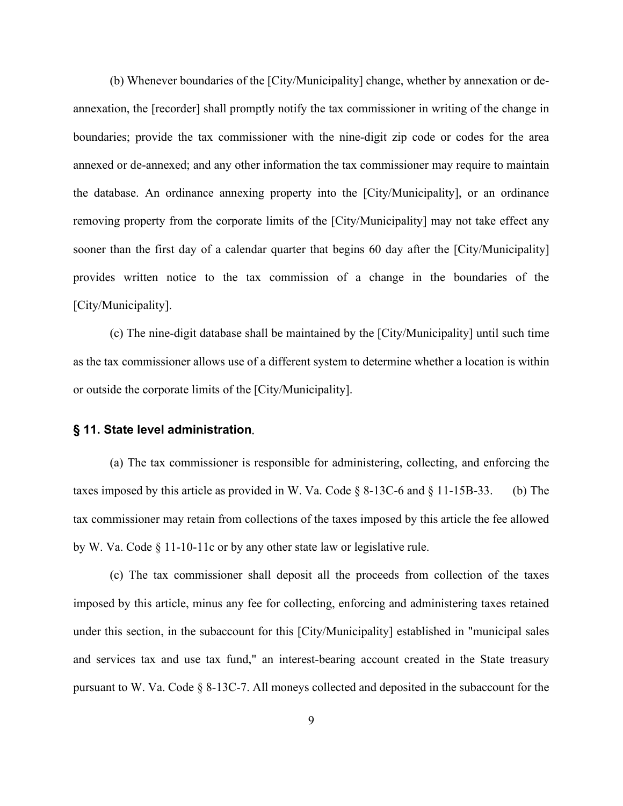(b) Whenever boundaries of the [City/Municipality] change, whether by annexation or deannexation, the [recorder] shall promptly notify the tax commissioner in writing of the change in boundaries; provide the tax commissioner with the nine-digit zip code or codes for the area annexed or de-annexed; and any other information the tax commissioner may require to maintain the database. An ordinance annexing property into the [City/Municipality], or an ordinance removing property from the corporate limits of the [City/Municipality] may not take effect any sooner than the first day of a calendar quarter that begins 60 day after the [City/Municipality] provides written notice to the tax commission of a change in the boundaries of the [City/Municipality].

(c) The nine-digit database shall be maintained by the [City/Municipality] until such time as the tax commissioner allows use of a different system to determine whether a location is within or outside the corporate limits of the [City/Municipality].

#### <span id="page-8-0"></span>**§ 11. State level administration**.

(a) The tax commissioner is responsible for administering, collecting, and enforcing the taxes imposed by this article as provided in W. Va. Code  $\S$  8-13C-6 and  $\S$  11-15B-33. (b) The tax commissioner may retain from collections of the taxes imposed by this article the fee allowed by W. Va. Code § 11-10-11c or by any other state law or legislative rule.

(c) The tax commissioner shall deposit all the proceeds from collection of the taxes imposed by this article, minus any fee for collecting, enforcing and administering taxes retained under this section, in the subaccount for this [City/Municipality] established in "municipal sales and services tax and use tax fund," an interest-bearing account created in the State treasury pursuant to W. Va. Code § 8-13C-7. All moneys collected and deposited in the subaccount for the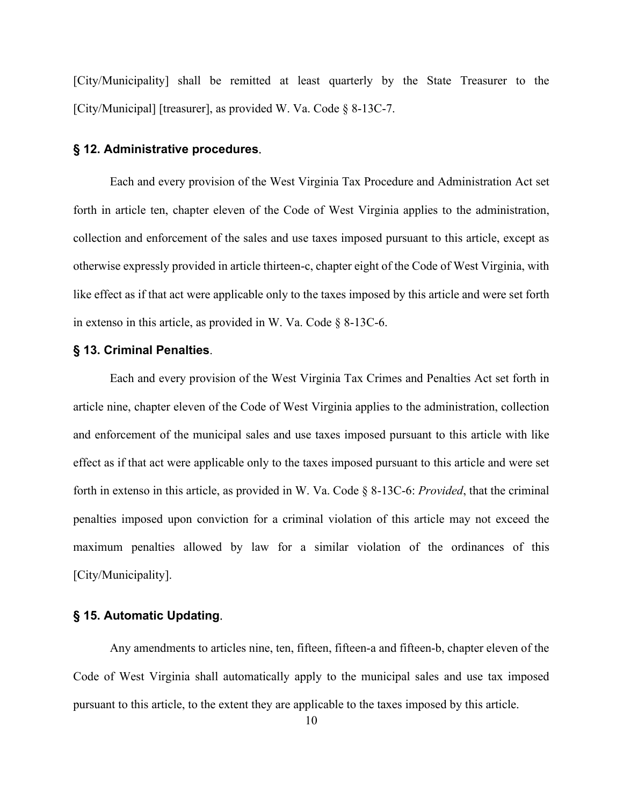[City/Municipality] shall be remitted at least quarterly by the State Treasurer to the [City/Municipal] [treasurer], as provided W. Va. Code § 8-13C-7.

#### <span id="page-9-0"></span>**§ 12. Administrative procedures**.

Each and every provision of the West Virginia Tax Procedure and Administration Act set forth in article ten, chapter eleven of the Code of West Virginia applies to the administration, collection and enforcement of the sales and use taxes imposed pursuant to this article, except as otherwise expressly provided in article thirteen-c, chapter eight of the Code of West Virginia, with like effect as if that act were applicable only to the taxes imposed by this article and were set forth in extenso in this article, as provided in W. Va. Code § 8-13C-6.

#### **§ 13. Criminal Penalties**.

Each and every provision of the West Virginia Tax Crimes and Penalties Act set forth in article nine, chapter eleven of the Code of West Virginia applies to the administration, collection and enforcement of the municipal sales and use taxes imposed pursuant to this article with like effect as if that act were applicable only to the taxes imposed pursuant to this article and were set forth in extenso in this article, as provided in W. Va. Code § 8-13C-6: *Provided*, that the criminal penalties imposed upon conviction for a criminal violation of this article may not exceed the maximum penalties allowed by law for a similar violation of the ordinances of this [City/Municipality].

# <span id="page-9-1"></span>**§ 15. Automatic Updating**.

Any amendments to articles nine, ten, fifteen, fifteen-a and fifteen-b, chapter eleven of the Code of West Virginia shall automatically apply to the municipal sales and use tax imposed pursuant to this article, to the extent they are applicable to the taxes imposed by this article.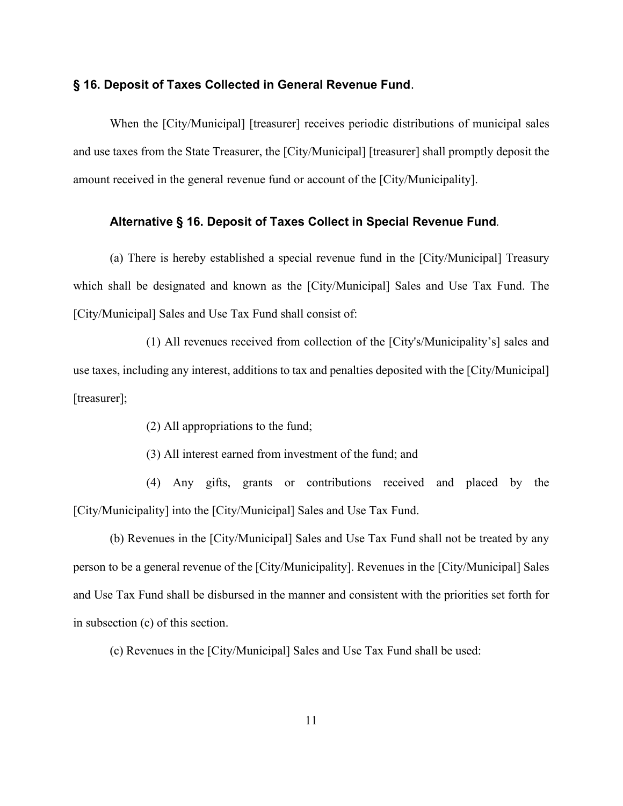### <span id="page-10-0"></span>**§ 16. Deposit of Taxes Collected in General Revenue Fund**.

When the [City/Municipal] [treasurer] receives periodic distributions of municipal sales and use taxes from the State Treasurer, the [City/Municipal] [treasurer] shall promptly deposit the amount received in the general revenue fund or account of the [City/Municipality].

### <span id="page-10-1"></span>**Alternative § 16. Deposit of Taxes Collect in Special Revenue Fund***.*

(a) There is hereby established a special revenue fund in the [City/Municipal] Treasury which shall be designated and known as the [City/Municipal] Sales and Use Tax Fund. The [City/Municipal] Sales and Use Tax Fund shall consist of:

(1) All revenues received from collection of the [City's/Municipality's] sales and use taxes, including any interest, additions to tax and penalties deposited with the [City/Municipal] [treasurer];

(2) All appropriations to the fund;

(3) All interest earned from investment of the fund; and

(4) Any gifts, grants or contributions received and placed by the [City/Municipality] into the [City/Municipal] Sales and Use Tax Fund.

(b) Revenues in the [City/Municipal] Sales and Use Tax Fund shall not be treated by any person to be a general revenue of the [City/Municipality]. Revenues in the [City/Municipal] Sales and Use Tax Fund shall be disbursed in the manner and consistent with the priorities set forth for in subsection (c) of this section.

(c) Revenues in the [City/Municipal] Sales and Use Tax Fund shall be used: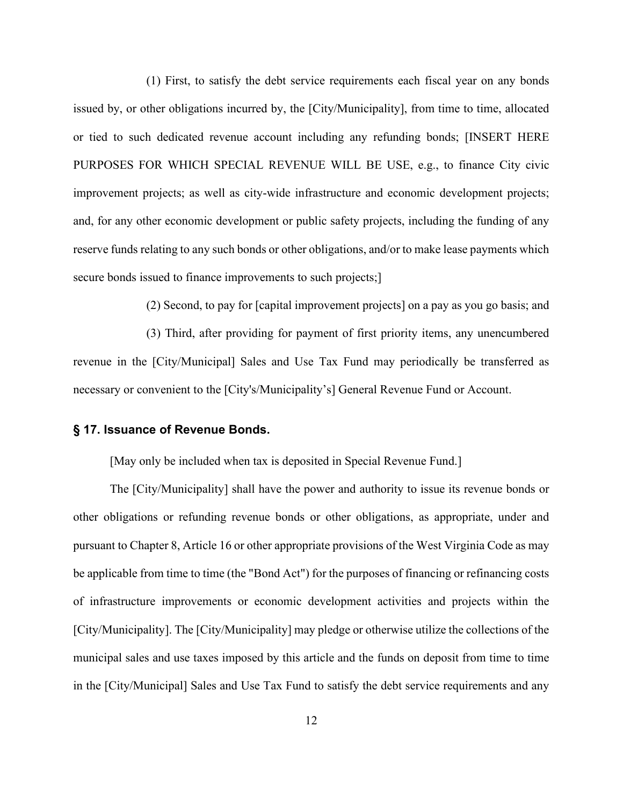(1) First, to satisfy the debt service requirements each fiscal year on any bonds issued by, or other obligations incurred by, the [City/Municipality], from time to time, allocated or tied to such dedicated revenue account including any refunding bonds; [INSERT HERE PURPOSES FOR WHICH SPECIAL REVENUE WILL BE USE, e.g., to finance City civic improvement projects; as well as city-wide infrastructure and economic development projects; and, for any other economic development or public safety projects, including the funding of any reserve funds relating to any such bonds or other obligations, and/or to make lease payments which secure bonds issued to finance improvements to such projects;

(2) Second, to pay for [capital improvement projects] on a pay as you go basis; and

(3) Third, after providing for payment of first priority items, any unencumbered revenue in the [City/Municipal] Sales and Use Tax Fund may periodically be transferred as necessary or convenient to the [City's/Municipality's] General Revenue Fund or Account.

#### <span id="page-11-0"></span>**§ 17. Issuance of Revenue Bonds.**

[May only be included when tax is deposited in Special Revenue Fund.]

The [City/Municipality] shall have the power and authority to issue its revenue bonds or other obligations or refunding revenue bonds or other obligations, as appropriate, under and pursuant to Chapter 8, Article 16 or other appropriate provisions of the West Virginia Code as may be applicable from time to time (the "Bond Act") for the purposes of financing or refinancing costs of infrastructure improvements or economic development activities and projects within the [City/Municipality]. The [City/Municipality] may pledge or otherwise utilize the collections of the municipal sales and use taxes imposed by this article and the funds on deposit from time to time in the [City/Municipal] Sales and Use Tax Fund to satisfy the debt service requirements and any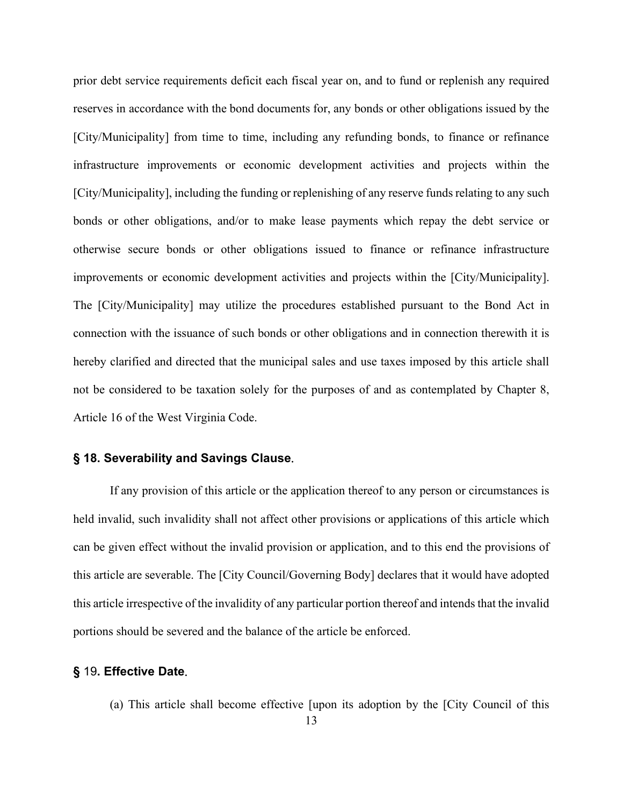prior debt service requirements deficit each fiscal year on, and to fund or replenish any required reserves in accordance with the bond documents for, any bonds or other obligations issued by the [City/Municipality] from time to time, including any refunding bonds, to finance or refinance infrastructure improvements or economic development activities and projects within the [City/Municipality], including the funding or replenishing of any reserve funds relating to any such bonds or other obligations, and/or to make lease payments which repay the debt service or otherwise secure bonds or other obligations issued to finance or refinance infrastructure improvements or economic development activities and projects within the [City/Municipality]. The [City/Municipality] may utilize the procedures established pursuant to the Bond Act in connection with the issuance of such bonds or other obligations and in connection therewith it is hereby clarified and directed that the municipal sales and use taxes imposed by this article shall not be considered to be taxation solely for the purposes of and as contemplated by Chapter 8, Article 16 of the West Virginia Code.

# <span id="page-12-0"></span>**§ 18. Severability and Savings Clause**.

If any provision of this article or the application thereof to any person or circumstances is held invalid, such invalidity shall not affect other provisions or applications of this article which can be given effect without the invalid provision or application, and to this end the provisions of this article are severable. The [City Council/Governing Body] declares that it would have adopted this article irrespective of the invalidity of any particular portion thereof and intends that the invalid portions should be severed and the balance of the article be enforced.

### <span id="page-12-1"></span>**§** 19**. Effective Date**.

(a) This article shall become effective [upon its adoption by the [City Council of this